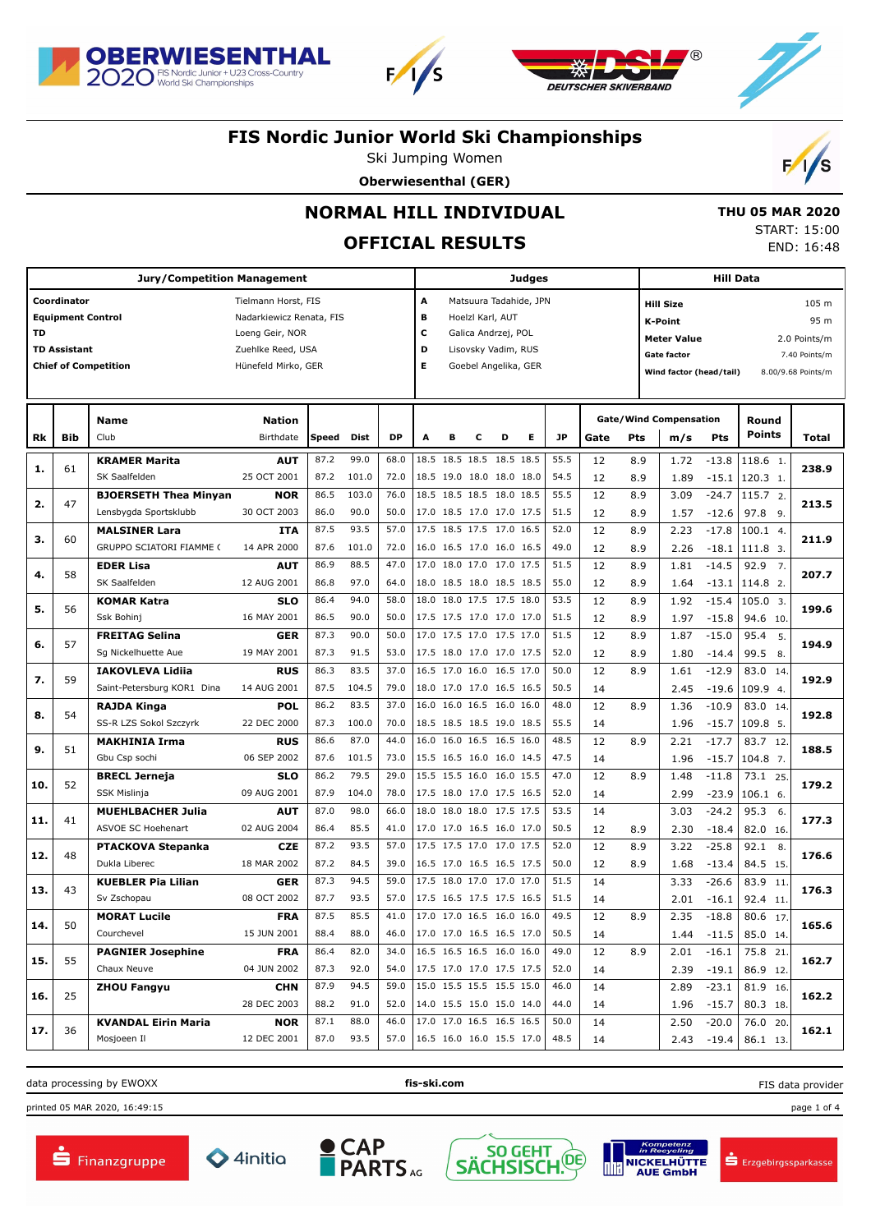

**Jury/Competition Management**





### **FIS Nordic Junior World Ski Championships**

Ski Jumping Women





 **THU 05 MAR 2020** START: 15:00 END: 16:48

**Hill Data**

# **NORMAL HILL INDIVIDUAL**

## **OFFICIAL RESULTS**

Τ

**Judges**

|     | Coordinator         |                              | Tielmann Horst, FIS      |       |             |           | A<br>Matsuura Tadahide, JPN |                      |   |                          |   |           |      |                    | <b>Hill Size</b>              |         |                          | 105 m              |  |
|-----|---------------------|------------------------------|--------------------------|-------|-------------|-----------|-----------------------------|----------------------|---|--------------------------|---|-----------|------|--------------------|-------------------------------|---------|--------------------------|--------------------|--|
|     |                     | <b>Equipment Control</b>     | Nadarkiewicz Renata, FIS |       |             |           | в                           | Hoelzl Karl, AUT     |   |                          |   |           |      |                    | K-Point                       |         |                          | 95 m               |  |
| TD  |                     |                              | Loeng Geir, NOR          |       |             |           | с                           | Galica Andrzej, POL  |   |                          |   |           |      |                    | <b>Meter Value</b>            |         |                          | 2.0 Points/m       |  |
|     | <b>TD Assistant</b> |                              | Zuehlke Reed, USA        |       |             |           | D<br>Lisovsky Vadim, RUS    |                      |   |                          |   |           |      | <b>Gate factor</b> |                               |         | 7.40 Points/m            |                    |  |
|     |                     | <b>Chief of Competition</b>  | Hünefeld Mirko, GER      |       |             |           | E                           | Goebel Angelika, GER |   |                          |   |           |      |                    | Wind factor (head/tail)       |         |                          | 8.00/9.68 Points/m |  |
|     |                     |                              |                          |       |             |           |                             |                      |   |                          |   |           |      |                    |                               |         |                          |                    |  |
|     |                     |                              |                          |       |             |           |                             |                      |   |                          |   |           |      |                    |                               |         |                          |                    |  |
|     |                     | <b>Name</b>                  | <b>Nation</b>            |       |             |           |                             |                      |   |                          |   |           |      |                    | <b>Gate/Wind Compensation</b> |         | Round                    |                    |  |
| Rk  | <b>Bib</b>          | Club                         | Birthdate                | Speed | <b>Dist</b> | <b>DP</b> | A                           | B                    | с | D                        | E | <b>JP</b> | Gate | Pts                | m/s                           | Pts     | <b>Points</b>            | <b>Total</b>       |  |
|     |                     | <b>KRAMER Marita</b>         | <b>AUT</b>               | 87.2  | 99.0        | 68.0      |                             |                      |   | 18.5 18.5 18.5 18.5 18.5 |   | 55.5      | 12   | 8.9                | 1.72                          | $-13.8$ | 118.6 1.                 |                    |  |
| 1.  | 61                  | SK Saalfelden                | 25 OCT 2001              | 87.2  | 101.0       | 72.0      |                             |                      |   | 18.5 19.0 18.0 18.0 18.0 |   | 54.5      | 12   | 8.9                | 1.89                          | $-15.1$ | 120.3 1.                 | 238.9              |  |
|     | 47                  | <b>BJOERSETH Thea Minyan</b> | <b>NOR</b>               | 86.5  | 103.0       | 76.0      |                             |                      |   | 18.5 18.5 18.5 18.0 18.5 |   | 55.5      | 12   | 8.9                | 3.09                          | $-24.7$ | 115.7 2.                 | 213.5              |  |
| 2.  |                     | Lensbygda Sportsklubb        | 30 OCT 2003              | 86.0  | 90.0        | 50.0      |                             |                      |   | 17.0 18.5 17.0 17.0 17.5 |   | 51.5      | 12   | 8.9                | 1.57                          | $-12.6$ | 97.8 9.                  |                    |  |
|     |                     | <b>MALSINER Lara</b>         | <b>ITA</b>               | 87.5  | 93.5        | 57.0      |                             |                      |   | 17.5 18.5 17.5 17.0 16.5 |   | 52.0      | 12   | 8.9                | 2.23                          | $-17.8$ | 100.1 4.                 |                    |  |
| з.  | 60                  | GRUPPO SCIATORI FIAMME (     | 14 APR 2000              | 87.6  | 101.0       | 72.0      |                             |                      |   | 16.0 16.5 17.0 16.0 16.5 |   | 49.0      | 12   | 8.9                | 2.26                          | $-18.1$ | 111.8 3.                 | 211.9              |  |
|     |                     | <b>EDER Lisa</b>             | <b>AUT</b>               | 86.9  | 88.5        | 47.0      | 17.0                        |                      |   | 18.0 17.0 17.0 17.5      |   | 51.5      | 12   | 8.9                | 1.81                          | $-14.5$ | 92.9<br>$\overline{7}$ . |                    |  |
| 4.  | 58                  | SK Saalfelden                | 12 AUG 2001              | 86.8  | 97.0        | 64.0      |                             |                      |   | 18.0 18.5 18.0 18.5 18.5 |   | 55.0      | 12   | 8.9                | 1.64                          | $-13.1$ | 114.8 2.                 | 207.7              |  |
|     |                     | <b>KOMAR Katra</b>           | <b>SLO</b>               | 86.4  | 94.0        | 58.0      |                             |                      |   | 18.0 18.0 17.5 17.5 18.0 |   | 53.5      | 12   | 8.9                | 1.92                          | $-15.4$ | 105.0 3.                 |                    |  |
| 5.  | 56                  | Ssk Bohini                   | 16 MAY 2001              | 86.5  | 90.0        | 50.0      |                             |                      |   | 17.5 17.5 17.0 17.0 17.0 |   | 51.5      | 12   | 8.9                | 1.97                          | $-15.8$ | 94.6 10.                 | 199.6              |  |
|     |                     | <b>FREITAG Selina</b>        | <b>GER</b>               | 87.3  | 90.0        | 50.0      | 17.0                        |                      |   | 17.5 17.0 17.5 17.0      |   | 51.5      | 12   | 8.9                | 1.87                          | $-15.0$ | 95.4<br>5.               |                    |  |
| 6.  | 57                  | Sg Nickelhuette Aue          | 19 MAY 2001              | 87.3  | 91.5        | 53.0      |                             |                      |   | 17.5 18.0 17.0 17.0 17.5 |   | 52.0      | 12   | 8.9                | 1.80                          | $-14.4$ | 99.5 8.                  | 194.9              |  |
|     |                     | <b>IAKOVLEVA Lidija</b>      | <b>RUS</b>               | 86.3  | 83.5        | 37.0      |                             |                      |   | 16.5 17.0 16.0 16.5 17.0 |   | 50.0      | 12   | 8.9                | 1.61                          | $-12.9$ | 83.0 14.                 |                    |  |
| 7.  | 59                  | Saint-Petersburg KOR1 Dina   | 14 AUG 2001              | 87.5  | 104.5       | 79.0      |                             |                      |   | 18.0 17.0 17.0 16.5 16.5 |   | 50.5      | 14   |                    | 2.45                          | $-19.6$ | 109.9 4.                 | 192.9              |  |
|     |                     | <b>RAJDA Kinga</b>           | <b>POL</b>               | 86.2  | 83.5        | 37.0      |                             |                      |   | 16.0 16.0 16.5 16.0 16.0 |   | 48.0      | 12   | 8.9                | 1.36                          | $-10.9$ | 83.0 14.                 |                    |  |
| 8.  | 54                  | SS-R LZS Sokol Szczyrk       | 22 DEC 2000              | 87.3  | 100.0       | 70.0      |                             |                      |   | 18.5 18.5 18.5 19.0 18.5 |   | 55.5      | 14   |                    | 1.96                          | $-15.7$ | 109.8 5.                 | 192.8              |  |
| 9.  | 51                  | <b>MAKHINIA Irma</b>         | <b>RUS</b>               | 86.6  | 87.0        | 44.0      |                             |                      |   | 16.0 16.0 16.5 16.5 16.0 |   | 48.5      | 12   | 8.9                | 2.21                          | $-17.7$ | 83.7 12.                 | 188.5              |  |
|     |                     | Gbu Csp sochi                | 06 SEP 2002              | 87.6  | 101.5       | 73.0      |                             |                      |   | 15.5 16.5 16.0 16.0 14.5 |   | 47.5      | 14   |                    | 1.96                          | $-15.7$ | 104.8 7.                 |                    |  |
|     | 52                  | <b>BRECL Jerneja</b>         | <b>SLO</b>               | 86.2  | 79.5        | 29.0      |                             |                      |   | 15.5 15.5 16.0 16.0 15.5 |   | 47.0      | 12   | 8.9                | 1.48                          | $-11.8$ | 73.1 25.                 | 179.2              |  |
| 10. |                     | <b>SSK Mislinja</b>          | 09 AUG 2001              | 87.9  | 104.0       | 78.0      |                             |                      |   | 17.5 18.0 17.0 17.5 16.5 |   | 52.0      | 14   |                    | 2.99                          | $-23.9$ | $106.1$ 6.               |                    |  |
| 11. | 41                  | <b>MUEHLBACHER Julia</b>     | <b>AUT</b>               | 87.0  | 98.0        | 66.0      | 18.0                        |                      |   | 18.0 18.0 17.5 17.5      |   | 53.5      | 14   |                    | 3.03                          | $-24.2$ | 95.3 6.                  | 177.3              |  |
|     |                     | <b>ASVOE SC Hoehenart</b>    | 02 AUG 2004              | 86.4  | 85.5        | 41.0      |                             |                      |   | 17.0 17.0 16.5 16.0 17.0 |   | 50.5      | 12   | 8.9                | 2.30                          | $-18.4$ | 82.0 16.                 |                    |  |
| 12. | 48                  | <b>PTACKOVA Stepanka</b>     | <b>CZE</b>               | 87.2  | 93.5        | 57.0      |                             |                      |   | 17.5 17.5 17.0 17.0 17.5 |   | 52.0      | 12   | 8.9                | 3.22                          | $-25.8$ | 92.1<br>8.               | 176.6              |  |
|     |                     | Dukla Liberec                | 18 MAR 2002              | 87.2  | 84.5        | 39.0      |                             |                      |   | 16.5 17.0 16.5 16.5 17.5 |   | 50.0      | 12   | 8.9                | 1.68                          | $-13.4$ | 84.5 15.                 |                    |  |
|     | 43                  | <b>KUEBLER Pia Lilian</b>    | <b>GER</b>               | 87.3  | 94.5        | 59.0      |                             |                      |   | 17.5 18.0 17.0 17.0 17.0 |   | 51.5      | 14   |                    | 3.33                          | $-26.6$ | 83.9 11.                 | 176.3              |  |
| 13. |                     | Sv Zschopau                  | 08 OCT 2002              | 87.7  | 93.5        | 57.0      |                             |                      |   | 17.5 16.5 17.5 17.5 16.5 |   | 51.5      | 14   |                    | 2.01                          | $-16.1$ | 92.4 11.                 |                    |  |
|     |                     | <b>MORAT Lucile</b>          | <b>FRA</b>               | 87.5  | 85.5        | 41.0      |                             |                      |   | 17.0 17.0 16.5 16.0 16.0 |   | 49.5      | 12   | 8.9                | 2.35                          | $-18.8$ | 80.6 17.                 |                    |  |
| 14. | 50                  | Courchevel                   | 15 JUN 2001              | 88.4  | 88.0        | 46.0      |                             |                      |   | 17.0 17.0 16.5 16.5 17.0 |   | 50.5      | 14   |                    | 1.44                          | $-11.5$ | 85.0 14.                 | 165.6              |  |
|     |                     | <b>PAGNIER Josephine</b>     | <b>FRA</b>               | 86.4  | 82.0        | 34.0      |                             | 16.5 16.5 16.5       |   | 16.0 16.0                |   | 49.0      | 12   | 8.9                | 2.01                          | $-16.1$ | 75.8 21.                 |                    |  |
| 15. | 55                  | Chaux Neuve                  | 04 JUN 2002              | 87.3  | 92.0        | 54.0      |                             |                      |   | 17.5 17.0 17.0 17.5 17.5 |   | 52.0      | 14   |                    | 2.39                          | $-19.1$ | 86.9 12.                 | 162.7              |  |
|     | 25                  | <b>ZHOU Fangyu</b>           | <b>CHN</b>               | 87.9  | 94.5        | 59.0      | 15.0                        |                      |   | 15.5 15.5 15.5 15.0      |   | 46.0      | 14   |                    | 2.89                          | $-23.1$ | 81.9 16.                 |                    |  |
| 16. |                     |                              | 28 DEC 2003              | 88.2  | 91.0        | 52.0      |                             |                      |   | 14.0 15.5 15.0 15.0 14.0 |   | 44.0      | 14   |                    | 1.96                          | $-15.7$ | 80.3 18.                 | 162.2              |  |
|     |                     | <b>KVANDAL Eirin Maria</b>   | <b>NOR</b>               | 87.1  | 88.0        | 46.0      |                             |                      |   | 17.0 17.0 16.5 16.5 16.5 |   | 50.0      | 14   |                    | 2.50                          | $-20.0$ | 76.0<br>20.              | 162.1              |  |
| 17. | 36                  | Mosjoeen Il                  | 12 DEC 2001              | 87.0  | 93.5        | 57.0      |                             |                      |   | 16.5 16.0 16.0 15.5 17.0 |   | 48.5      | 14   |                    | 2.43                          | $-19.4$ | 86.1 13.                 |                    |  |

data processing by EWOXX **fis-ski.com**

FIS data provider

printed 05 MAR 2020, 16:49:15 page 1 of 4











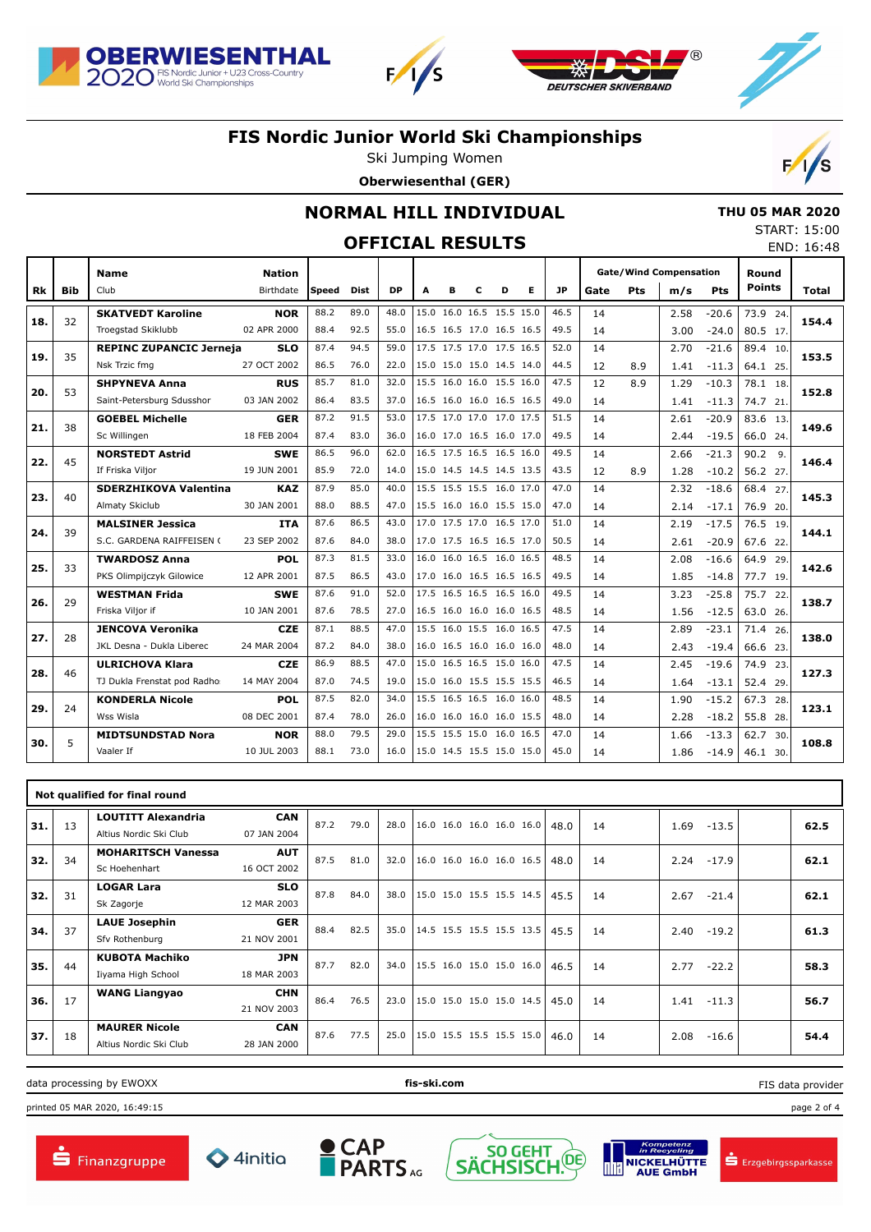





# **FIS Nordic Junior World Ski Championships**

Ski Jumping Women

**Oberwiesenthal (GER)**



 **THU 05 MAR 2020** START: 15:00 END: 16:48

### **NORMAL HILL INDIVIDUAL**

## **OFFICIAL RESULTS**

|     |            | <b>Name</b>                    | <b>Nation</b> |       |             |           |   |   |                          |   |   |      | <b>Gate/Wind Compensation</b> |            |      |            | Round         |              |
|-----|------------|--------------------------------|---------------|-------|-------------|-----------|---|---|--------------------------|---|---|------|-------------------------------|------------|------|------------|---------------|--------------|
| Rk  | <b>Bib</b> | Club                           | Birthdate     | Speed | <b>Dist</b> | <b>DP</b> | A | в | c                        | D | Е | JP   | Gate                          | <b>Pts</b> | m/s  | <b>Pts</b> | <b>Points</b> | <b>Total</b> |
|     |            | <b>SKATVEDT Karoline</b>       | <b>NOR</b>    | 88.2  | 89.0        | 48.0      |   |   | 15.0 16.0 16.5 15.5 15.0 |   |   | 46.5 | 14                            |            | 2.58 | $-20.6$    | 73.9 24.      |              |
| 18. | 32         | Troegstad Skiklubb             | 02 APR 2000   | 88.4  | 92.5        | 55.0      |   |   | 16.5 16.5 17.0 16.5 16.5 |   |   | 49.5 | 14                            |            | 3.00 | $-24.0$    | 80.5 17.      | 154.4        |
| 19. | 35         | <b>REPINC ZUPANCIC Jerneja</b> | <b>SLO</b>    | 87.4  | 94.5        | 59.0      |   |   | 17.5 17.5 17.0 17.5 16.5 |   |   | 52.0 | 14                            |            | 2.70 | $-21.6$    | 89.4 10.      | 153.5        |
|     |            | Nsk Trzic fmg                  | 27 OCT 2002   | 86.5  | 76.0        | 22.0      |   |   | 15.0 15.0 15.0 14.5 14.0 |   |   | 44.5 | 12                            | 8.9        | 1.41 | $-11.3$    | 64.1 25.      |              |
| 20. | 53         | <b>SHPYNEVA Anna</b>           | <b>RUS</b>    | 85.7  | 81.0        | 32.0      |   |   | 15.5 16.0 16.0 15.5 16.0 |   |   | 47.5 | 12                            | 8.9        | 1.29 | $-10.3$    | 78.1 18.      | 152.8        |
|     |            | Saint-Petersburg Sdusshor      | 03 JAN 2002   | 86.4  | 83.5        | 37.0      |   |   | 16.5 16.0 16.0 16.5 16.5 |   |   | 49.0 | 14                            |            | 1.41 | $-11.3$    | 74.7 21.      |              |
| 21. | 38         | <b>GOEBEL Michelle</b>         | <b>GER</b>    | 87.2  | 91.5        | 53.0      |   |   | 17.5 17.0 17.0 17.0 17.5 |   |   | 51.5 | 14                            |            | 2.61 | $-20.9$    | 83.6 13.      | 149.6        |
|     |            | Sc Willingen                   | 18 FEB 2004   | 87.4  | 83.0        | 36.0      |   |   | 16.0 17.0 16.5 16.0 17.0 |   |   | 49.5 | 14                            |            | 2.44 | $-19.5$    | 66.0 24.      |              |
| 22. | 45         | <b>NORSTEDT Astrid</b>         | <b>SWE</b>    | 86.5  | 96.0        | 62.0      |   |   | 16.5 17.5 16.5 16.5 16.0 |   |   | 49.5 | 14                            |            | 2.66 | $-21.3$    | 90.29.        | 146.4        |
|     |            | If Friska Viljor               | 19 JUN 2001   | 85.9  | 72.0        | 14.0      |   |   | 15.0 14.5 14.5 14.5 13.5 |   |   | 43.5 | 12                            | 8.9        | 1.28 | $-10.2$    | 56.2 27.      |              |
| 23. | 40         | <b>SDERZHIKOVA Valentina</b>   | <b>KAZ</b>    | 87.9  | 85.0        | 40.0      |   |   | 15.5 15.5 15.5 16.0 17.0 |   |   | 47.0 | 14                            |            | 2.32 | $-18.6$    | 68.4 27.      | 145.3        |
|     |            | Almaty Skiclub                 | 30 JAN 2001   | 88.0  | 88.5        | 47.0      |   |   | 15.5 16.0 16.0 15.5 15.0 |   |   | 47.0 | 14                            |            | 2.14 | $-17.1$    | 76.9 20.      |              |
| 24. | 39         | <b>MALSINER Jessica</b>        | <b>ITA</b>    | 87.6  | 86.5        | 43.0      |   |   | 17.0 17.5 17.0 16.5 17.0 |   |   | 51.0 | 14                            |            | 2.19 | $-17.5$    | 76.5 19.      | 144.1        |
|     |            | S.C. GARDENA RAIFFEISEN (      | 23 SEP 2002   | 87.6  | 84.0        | 38.0      |   |   | 17.0 17.5 16.5 16.5 17.0 |   |   | 50.5 | 14                            |            | 2.61 | $-20.9$    | 67.6 22.      |              |
| 25. | 33         | <b>TWARDOSZ Anna</b>           | <b>POL</b>    | 87.3  | 81.5        | 33.0      |   |   | 16.0 16.0 16.5 16.0 16.5 |   |   | 48.5 | 14                            |            | 2.08 | $-16.6$    | 64.9 29.      | 142.6        |
|     |            | PKS Olimpijczyk Gilowice       | 12 APR 2001   | 87.5  | 86.5        | 43.0      |   |   | 17.0 16.0 16.5 16.5 16.5 |   |   | 49.5 | 14                            |            | 1.85 | $-14.8$    | 77.7 19.      |              |
| 26. | 29         | <b>WESTMAN Frida</b>           | <b>SWE</b>    | 87.6  | 91.0        | 52.0      |   |   | 17.5 16.5 16.5 16.5 16.0 |   |   | 49.5 | 14                            |            | 3.23 | $-25.8$    | 75.7 22.      | 138.7        |
|     |            | Friska Viljor if               | 10 JAN 2001   | 87.6  | 78.5        | 27.0      |   |   | 16.5 16.0 16.0 16.0 16.5 |   |   | 48.5 | 14                            |            | 1.56 | $-12.5$    | 63.0 26.      |              |
| 27. | 28         | <b>JENCOVA Veronika</b>        | <b>CZE</b>    | 87.1  | 88.5        | 47.0      |   |   | 15.5 16.0 15.5 16.0 16.5 |   |   | 47.5 | 14                            |            | 2.89 | $-23.1$    | 71.4 26.      | 138.0        |
|     |            | JKL Desna - Dukla Liberec      | 24 MAR 2004   | 87.2  | 84.0        | 38.0      |   |   | 16.0 16.5 16.0 16.0 16.0 |   |   | 48.0 | 14                            |            | 2.43 | $-19.4$    | 66.6 23.      |              |
| 28. | 46         | <b>ULRICHOVA Klara</b>         | <b>CZE</b>    | 86.9  | 88.5        | 47.0      |   |   | 15.0 16.5 16.5 15.0 16.0 |   |   | 47.5 | 14                            |            | 2.45 | $-19.6$    | 74.9 23.      | 127.3        |
|     |            | TJ Dukla Frenstat pod Radho:   | 14 MAY 2004   | 87.0  | 74.5        | 19.0      |   |   | 15.0 16.0 15.5 15.5 15.5 |   |   | 46.5 | 14                            |            | 1.64 | $-13.1$    | 52.4 29.      |              |
| 29. | 24         | <b>KONDERLA Nicole</b>         | <b>POL</b>    | 87.5  | 82.0        | 34.0      |   |   | 15.5 16.5 16.5 16.0 16.0 |   |   | 48.5 | 14                            |            | 1.90 | $-15.2$    | 67.3 28.      | 123.1        |
|     |            | Wss Wisla                      | 08 DEC 2001   | 87.4  | 78.0        | 26.0      |   |   | 16.0 16.0 16.0 16.0 15.5 |   |   | 48.0 | 14                            |            | 2.28 | $-18.2$    | 55.8 28.      |              |
| 30. | 5          | <b>MIDTSUNDSTAD Nora</b>       | <b>NOR</b>    | 88.0  | 79.5        | 29.0      |   |   | 15.5 15.5 15.0 16.0 16.5 |   |   | 47.0 | 14                            |            | 1.66 | $-13.3$    | 62.7 30.      | 108.8        |
|     |            | Vaaler If                      | 10 JUL 2003   | 88.1  | 73.0        | 16.0      |   |   | 15.0 14.5 15.5 15.0 15.0 |   |   | 45.0 | 14                            |            | 1.86 | $-14.9$    | 46.1, 30.     |              |

|     | Not qualified for final round |                                                     |                           |      |      |      |                          |      |    |                 |  |      |  |  |  |
|-----|-------------------------------|-----------------------------------------------------|---------------------------|------|------|------|--------------------------|------|----|-----------------|--|------|--|--|--|
| 31. | 13                            | <b>LOUTITT Alexandria</b><br>Altius Nordic Ski Club | <b>CAN</b><br>07 JAN 2004 | 87.2 | 79.0 | 28.0 | 16.0 16.0 16.0 16.0 16.0 | 48.0 | 14 | 1.69<br>$-13.5$ |  | 62.5 |  |  |  |
| 32. | 34                            | <b>MOHARITSCH Vanessa</b><br>Sc Hoehenhart          | <b>AUT</b><br>16 OCT 2002 | 87.5 | 81.0 | 32.0 | 16.0 16.0 16.0 16.0 16.5 | 48.0 | 14 | 2.24<br>$-17.9$ |  | 62.1 |  |  |  |
| 32. | 31                            | <b>LOGAR Lara</b><br>Sk Zagorje                     | <b>SLO</b><br>12 MAR 2003 | 87.8 | 84.0 | 38.0 | 15.0 15.0 15.5 15.5 14.5 | 45.5 | 14 | 2.67<br>$-21.4$ |  | 62.1 |  |  |  |
| 34. | 37                            | <b>LAUE Josephin</b><br>Sfv Rothenburg              | <b>GER</b><br>21 NOV 2001 | 88.4 | 82.5 | 35.0 | 14.5 15.5 15.5 15.5 13.5 | 45.5 | 14 | $-19.2$<br>2.40 |  | 61.3 |  |  |  |
| 35. | 44                            | <b>KUBOTA Machiko</b><br>Iiyama High School         | <b>JPN</b><br>18 MAR 2003 | 87.7 | 82.0 | 34.0 | 15.5 16.0 15.0 15.0 16.0 | 46.5 | 14 | 2.77<br>$-22.2$ |  | 58.3 |  |  |  |
| 36. | 17                            | <b>WANG Liangyao</b>                                | <b>CHN</b><br>21 NOV 2003 | 86.4 | 76.5 | 23.0 | 15.0 15.0 15.0 15.0 14.5 | 45.0 | 14 | $-11.3$<br>1.41 |  | 56.7 |  |  |  |
| 37. | 18                            | <b>MAURER Nicole</b><br>Altius Nordic Ski Club      | <b>CAN</b><br>28 JAN 2000 | 87.6 | 77.5 | 25.0 | 15.0 15.5 15.5 15.5 15.0 | 46.0 | 14 | 2.08<br>$-16.6$ |  | 54.4 |  |  |  |

data processing by EWOXX **fis-ski.com**

printed 05 MAR 2020, 16:49:15 page 2 of 4











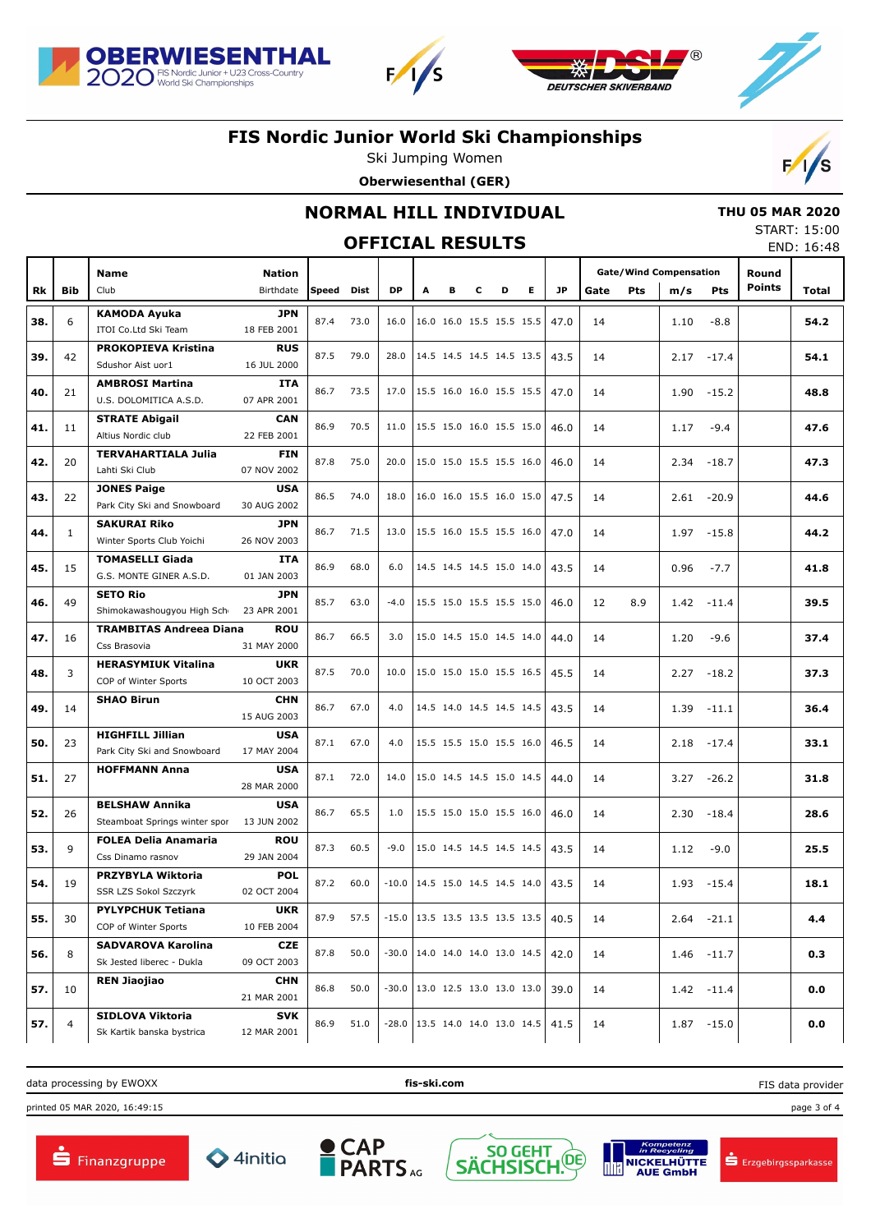





# **FIS Nordic Junior World Ski Championships**

Ski Jumping Women





## **NORMAL HILL INDIVIDUAL**

## **OFFICIAL RESULTS**

 **THU 05 MAR 2020** START: 15:00 END: 16:48

|     |              | Name                                                   | <b>Nation</b>             |            |      |           |                                    |   |   |   |   |      | <b>Gate/Wind Compensation</b> |     |      |               | Round         |       |
|-----|--------------|--------------------------------------------------------|---------------------------|------------|------|-----------|------------------------------------|---|---|---|---|------|-------------------------------|-----|------|---------------|---------------|-------|
| Rk  | <b>Bib</b>   | Club                                                   | Birthdate                 | Speed Dist |      | <b>DP</b> | A                                  | в | c | D | Е | JP.  | Gate                          | Pts | m/s  | Pts           | <b>Points</b> | Total |
|     |              | <b>KAMODA Ayuka</b>                                    | <b>JPN</b>                |            |      |           |                                    |   |   |   |   |      |                               |     |      |               |               |       |
| 38. | 6            | ITOI Co.Ltd Ski Team                                   | 18 FEB 2001               | 87.4       | 73.0 | 16.0      | 16.0 16.0 15.5 15.5 15.5           |   |   |   |   | 47.0 | 14                            |     | 1.10 | $-8.8$        |               | 54.2  |
|     |              | <b>PROKOPIEVA Kristina</b>                             | <b>RUS</b>                |            |      |           |                                    |   |   |   |   |      |                               |     |      |               |               |       |
| 39. | 42           | Sdushor Aist uor1                                      | 16 JUL 2000               | 87.5       | 79.0 | 28.0      | 14.5 14.5 14.5 14.5 13.5           |   |   |   |   | 43.5 | 14                            |     |      | $2.17 - 17.4$ |               | 54.1  |
| 40. | 21           | <b>AMBROSI Martina</b>                                 | <b>ITA</b>                | 86.7       | 73.5 |           | 17.0 15.5 16.0 16.0 15.5 15.5      |   |   |   |   | 47.0 | 14                            |     | 1.90 | $-15.2$       |               | 48.8  |
|     |              | U.S. DOLOMITICA A.S.D.                                 | 07 APR 2001               |            |      |           |                                    |   |   |   |   |      |                               |     |      |               |               |       |
| 41. | 11           | <b>STRATE Abigail</b>                                  | <b>CAN</b>                | 86.9       | 70.5 | 11.0      | 15.5 15.0 16.0 15.5 15.0           |   |   |   |   | 46.0 | 14                            |     | 1.17 | $-9.4$        |               | 47.6  |
|     |              | Altius Nordic club                                     | 22 FEB 2001               |            |      |           |                                    |   |   |   |   |      |                               |     |      |               |               |       |
| 42. | 20           | <b>TERVAHARTIALA Julia</b><br>Lahti Ski Club           | <b>FIN</b><br>07 NOV 2002 | 87.8       | 75.0 | 20.0      | 15.0 15.0 15.5 15.5 16.0           |   |   |   |   | 46.0 | 14                            |     | 2.34 | $-18.7$       |               | 47.3  |
|     |              | <b>JONES Paige</b>                                     | <b>USA</b>                |            |      |           |                                    |   |   |   |   |      |                               |     |      |               |               |       |
| 43. | 22           | Park City Ski and Snowboard                            | 30 AUG 2002               | 86.5       | 74.0 | 18.0      | 16.0 16.0 15.5 16.0 15.0           |   |   |   |   | 47.5 | 14                            |     |      | $2.61 - 20.9$ |               | 44.6  |
|     |              | <b>SAKURAI Riko</b>                                    | <b>JPN</b>                |            |      |           |                                    |   |   |   |   |      |                               |     |      |               |               |       |
| 44. | $\mathbf{1}$ | Winter Sports Club Yoichi                              | 26 NOV 2003               | 86.7       | 71.5 | 13.0      | 15.5 16.0 15.5 15.5 16.0           |   |   |   |   | 47.0 | 14                            |     | 1.97 | $-15.8$       |               | 44.2  |
| 45. | 15           | <b>TOMASELLI Giada</b>                                 | <b>ITA</b>                | 86.9       | 68.0 | 6.0       | 14.5 14.5 14.5 15.0 14.0           |   |   |   |   | 43.5 | 14                            |     | 0.96 | $-7.7$        |               | 41.8  |
|     |              | G.S. MONTE GINER A.S.D.                                | 01 JAN 2003               |            |      |           |                                    |   |   |   |   |      |                               |     |      |               |               |       |
| 46. | 49           | <b>SETO Rio</b>                                        | <b>JPN</b>                | 85.7       | 63.0 | $-4.0$    | 15.5 15.0 15.5 15.5 15.0           |   |   |   |   | 46.0 | 12                            | 8.9 | 1.42 | $-11.4$       |               | 39.5  |
|     |              | Shimokawashougyou High Scho                            | 23 APR 2001               |            |      |           |                                    |   |   |   |   |      |                               |     |      |               |               |       |
| 47. | 16           | <b>TRAMBITAS Andreea Diana</b>                         | ROU                       | 86.7       | 66.5 | 3.0       | 15.0 14.5 15.0 14.5 14.0           |   |   |   |   | 44.0 | 14                            |     | 1.20 | $-9.6$        |               | 37.4  |
|     |              | Css Brasovia<br><b>HERASYMIUK Vitalina</b>             | 31 MAY 2000<br><b>UKR</b> |            |      |           |                                    |   |   |   |   |      |                               |     |      |               |               |       |
| 48. | 3            | COP of Winter Sports                                   | 10 OCT 2003               | 87.5       | 70.0 | 10.0      | 15.0 15.0 15.0 15.5 16.5           |   |   |   |   | 45.5 | 14                            |     | 2.27 | $-18.2$       |               | 37.3  |
|     |              | <b>SHAO Birun</b>                                      | <b>CHN</b>                |            |      |           |                                    |   |   |   |   |      |                               |     |      |               |               |       |
| 49. | 14           |                                                        | 15 AUG 2003               | 86.7       | 67.0 | 4.0       | 14.5 14.0 14.5 14.5 14.5           |   |   |   |   | 43.5 | 14                            |     | 1.39 | $-11.1$       |               | 36.4  |
| 50. | 23           | <b>HIGHFILL Jillian</b>                                | <b>USA</b>                | 87.1       | 67.0 | 4.0       | 15.5 15.5 15.0 15.5 16.0           |   |   |   |   | 46.5 | 14                            |     | 2.18 | $-17.4$       |               | 33.1  |
|     |              | Park City Ski and Snowboard                            | 17 MAY 2004               |            |      |           |                                    |   |   |   |   |      |                               |     |      |               |               |       |
| 51. | 27           | <b>HOFFMANN Anna</b>                                   | <b>USA</b>                | 87.1       | 72.0 | 14.0      | 15.0 14.5 14.5 15.0 14.5           |   |   |   |   | 44.0 | 14                            |     | 3.27 | $-26.2$       |               | 31.8  |
|     |              |                                                        | 28 MAR 2000               |            |      |           |                                    |   |   |   |   |      |                               |     |      |               |               |       |
| 52. | 26           | <b>BELSHAW Annika</b><br>Steamboat Springs winter spor | <b>USA</b><br>13 JUN 2002 | 86.7       | 65.5 | 1.0       | 15.5 15.0 15.0 15.5 16.0           |   |   |   |   | 46.0 | 14                            |     | 2.30 | $-18.4$       |               | 28.6  |
|     |              | <b>FOLEA Delia Anamaria</b>                            | <b>ROU</b>                |            |      |           |                                    |   |   |   |   |      |                               |     |      |               |               |       |
| 53. | 9            | Css Dinamo rasnov                                      | 29 JAN 2004               | 87.3       | 60.5 | $-9.0$    | 15.0 14.5 14.5 14.5 14.5           |   |   |   |   | 43.5 | 14                            |     | 1.12 | $-9.0$        |               | 25.5  |
|     |              | <b>PRZYBYLA Wiktoria</b>                               | <b>POL</b>                |            |      |           |                                    |   |   |   |   |      |                               |     |      |               |               |       |
| 54. | 19           | SSR LZS Sokol Szczyrk                                  | 02 OCT 2004               | 87.2       | 60.0 | $-10.0$   | $14.5$ 15.0 14.5 14.5 14.0         |   |   |   |   | 43.5 | 14                            |     | 1.93 | $-15.4$       |               | 18.1  |
| 55. | 30           | <b>PYLYPCHUK Tetiana</b>                               | <b>UKR</b>                | 87.9       | 57.5 |           | $-15.0$   13.5 13.5 13.5 13.5 13.5 |   |   |   |   | 40.5 | 14                            |     |      |               |               | 4.4   |
|     |              | COP of Winter Sports                                   | 10 FEB 2004               |            |      |           |                                    |   |   |   |   |      |                               |     |      | $2.64 -21.1$  |               |       |
| 56. | 8            | <b>SADVAROVA Karolina</b>                              | CZE                       | 87.8       | 50.0 |           | $-30.0$   14.0 14.0 14.0 13.0 14.5 |   |   |   |   | 42.0 | 14                            |     |      | $1.46 - 11.7$ |               | 0.3   |
|     |              | Sk Jested liberec - Dukla                              | 09 OCT 2003               |            |      |           |                                    |   |   |   |   |      |                               |     |      |               |               |       |
| 57. | 10           | <b>REN Jiaojiao</b>                                    | <b>CHN</b>                | 86.8       | 50.0 | $-30.0$   | 13.0 12.5 13.0 13.0 13.0           |   |   |   |   | 39.0 | 14                            |     |      | $1.42 - 11.4$ |               | 0.0   |
|     |              | SIDLOVA Viktoria                                       | 21 MAR 2001<br><b>SVK</b> |            |      |           |                                    |   |   |   |   |      |                               |     |      |               |               |       |
| 57. | 4            | Sk Kartik banska bystrica                              | 12 MAR 2001               | 86.9       | 51.0 |           | $-28.0$   13.5 14.0 14.0 13.0 14.5 |   |   |   |   | 41.5 | 14                            |     |      | $1.87 - 15.0$ |               | 0.0   |

data processing by EWOXX **fis-ski.com**

printed 05 MAR 2020, 16:49:15 page 3 of 4











FIS data provider